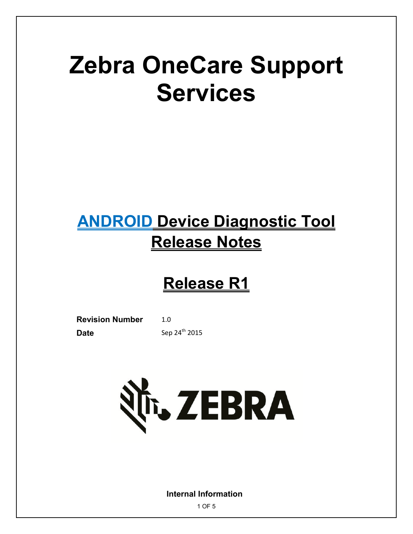# **Zebra OneCare Support Services**

## **ANDROID Device Diagnostic Tool Release Notes**

## **Release R1**

**Revision Number** 1.0 **Date** Sep 24<sup>th</sup> 2015



**Internal Information**

1 OF 5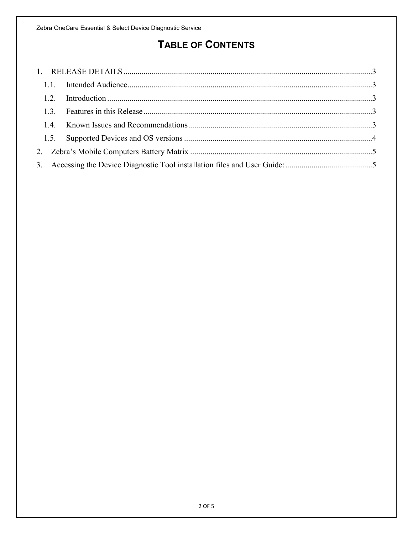### **TABLE OF CONTENTS**

| 1.3 |  |
|-----|--|
|     |  |
|     |  |
|     |  |
|     |  |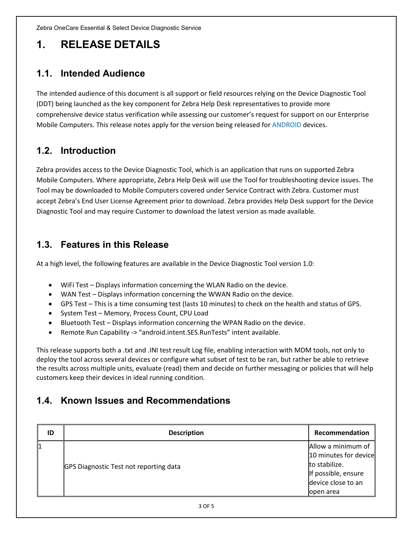Zebra OneCare Essential & Select Device Diagnostic Service

### <span id="page-2-0"></span>**1. RELEASE DETAILS**

#### <span id="page-2-1"></span>**1.1. Intended Audience**

The intended audience of this document is all support or field resources relying on the Device Diagnostic Tool (DDT) being launched as the key component for Zebra Help Desk representatives to provide more comprehensive device status verification while assessing our customer's request for support on our Enterprise Mobile Computers. This release notes apply for the version being released for ANDROID devices.

#### <span id="page-2-2"></span>**1.2. Introduction**

Zebra provides access to the Device Diagnostic Tool, which is an application that runs on supported Zebra Mobile Computers. Where appropriate, Zebra Help Desk will use the Tool for troubleshooting device issues. The Tool may be downloaded to Mobile Computers covered under Service Contract with Zebra. Customer must accept Zebra's End User License Agreement prior to download. Zebra provides Help Desk support for the Device Diagnostic Tool and may require Customer to download the latest version as made available.

#### <span id="page-2-3"></span>**1.3. Features in this Release**

At a high level, the following features are available in the Device Diagnostic Tool version 1.0:

- WiFi Test Displays information concerning the WLAN Radio on the device.
- WAN Test Displays information concerning the WWAN Radio on the device.
- GPS Test This is a time consuming test (lasts 10 minutes) to check on the health and status of GPS.
- System Test Memory, Process Count, CPU Load
- Bluetooth Test Displays information concerning the WPAN Radio on the device.
- Remote Run Capability -> "android.intent.SES.RunTests" intent available.

This release supports both a .txt and .INI test result Log file, enabling interaction with MDM tools, not only to deploy the tool across several devices or configure what subset of test to be ran, but rather be able to retrieve the results across multiple units, evaluate (read) them and decide on further messaging or policies that will help customers keep their devices in ideal running condition.

#### <span id="page-2-4"></span>**1.4. Known Issues and Recommendations**

| ID | <b>Description</b>                            | Recommendation        |
|----|-----------------------------------------------|-----------------------|
| l1 |                                               | Allow a minimum of    |
|    |                                               | 10 minutes for device |
|    | <b>GPS Diagnostic Test not reporting data</b> | to stabilize.         |
|    |                                               | If possible, ensure   |
|    |                                               | device close to an    |
|    |                                               | lopen area            |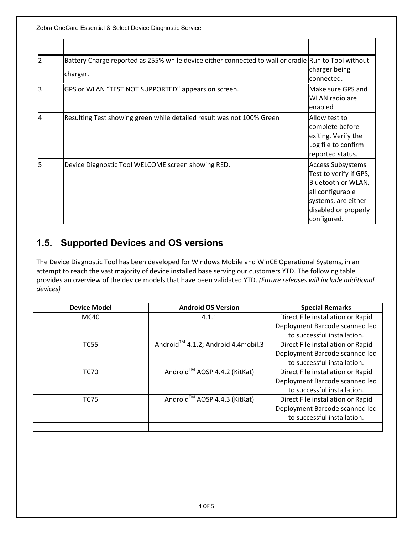Zebra OneCare Essential & Select Device Diagnostic Service

| Battery Charge reported as 255% while device either connected to wall or cradle Run to Tool without<br>charger. | charger being<br>connected.                                                                                                                         |
|-----------------------------------------------------------------------------------------------------------------|-----------------------------------------------------------------------------------------------------------------------------------------------------|
| GPS or WLAN "TEST NOT SUPPORTED" appears on screen.                                                             | Make sure GPS and<br>WLAN radio are<br>lenabled                                                                                                     |
| Resulting Test showing green while detailed result was not 100% Green                                           | Allow test to<br>complete before<br>exiting. Verify the<br>Log file to confirm<br>reported status.                                                  |
| Device Diagnostic Tool WELCOME screen showing RED.                                                              | Access Subsystems<br>Test to verify if GPS,<br>Bluetooth or WLAN,<br>all configurable<br>systems, are either<br>disabled or properly<br>configured. |

#### <span id="page-3-0"></span>**1.5. Supported Devices and OS versions**

The Device Diagnostic Tool has been developed for Windows Mobile and WinCE Operational Systems, in an attempt to reach the vast majority of device installed base serving our customers YTD. The following table provides an overview of the device models that have been validated YTD. *(Future releases will include additional devices)*

| <b>Device Model</b> | <b>Android OS Version</b>                      | <b>Special Remarks</b>            |
|---------------------|------------------------------------------------|-----------------------------------|
| MC40                | 4.1.1                                          | Direct File installation or Rapid |
|                     |                                                | Deployment Barcode scanned led    |
|                     |                                                | to successful installation.       |
| <b>TC55</b>         | Android <sup>™</sup> 4.1.2; Android 4.4mobil.3 | Direct File installation or Rapid |
|                     |                                                | Deployment Barcode scanned led    |
|                     |                                                | to successful installation.       |
| <b>TC70</b>         | Android™ AOSP 4.4.2 (KitKat)                   | Direct File installation or Rapid |
|                     |                                                | Deployment Barcode scanned led    |
|                     |                                                | to successful installation.       |
| <b>TC75</b>         | Android <sup>™</sup> AOSP 4.4.3 (KitKat)       | Direct File installation or Rapid |
|                     |                                                | Deployment Barcode scanned led    |
|                     |                                                | to successful installation.       |
|                     |                                                |                                   |